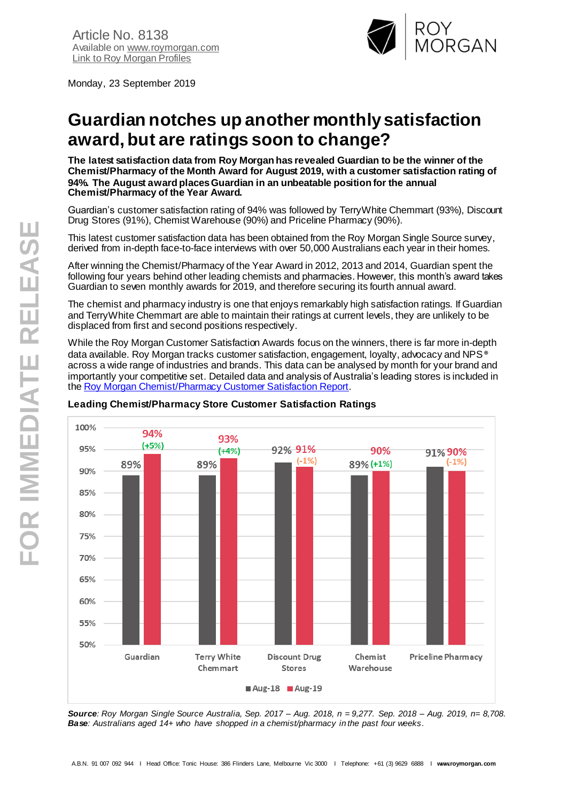Monday, 23 September 2019



# **Guardian notches up another monthly satisfaction award, but are ratings soon to change?**

**The latest satisfaction data from Roy Morgan has revealed Guardian to be the winner of the Chemist/Pharmacy of the Month Award for August 2019, with a customer satisfaction rating of 94%. The August award places Guardian in an unbeatable position for the annual Chemist/Pharmacy of the Year Award.**

Guardian's customer satisfaction rating of 94% was followed by TerryWhite Chemmart (93%), Discount Drug Stores (91%), Chemist Warehouse (90%) and Priceline Pharmacy (90%).

This latest customer satisfaction data has been obtained from the Roy Morgan Single Source survey, derived from in-depth face-to-face interviews with over 50,000 Australians each year in their homes.

After winning the Chemist/Pharmacy of the Year Award in 2012, 2013 and 2014, Guardian spent the following four years behind other leading chemists and pharmacies. However, this month's award takes Guardian to seven monthly awards for 2019, and therefore securing its fourth annual award.

The chemist and pharmacy industry is one that enjoys remarkably high satisfaction ratings. If Guardian and TerryWhite Chemmart are able to maintain their ratings at current levels, they are unlikely to be displaced from first and second positions respectively.

While the Roy Morgan Customer Satisfaction Awards focus on the winners, there is far more in-depth data available. Roy Morgan tracks customer satisfaction, engagement, loyalty, advocacy and NPS® across a wide range of industries and brands. This data can be analysed by month for your brand and importantly your competitive set. Detailed data and analysis of Australia's leading stores is included in th[e Roy Morgan Chemist/Pharmacy](https://store.roymorgan.com/product/Customer-Satisfaction---ChemistPharmacies-Report-12635) Customer Satisfaction Report.



### **Leading Chemist/Pharmacy Store Customer Satisfaction Ratings**

*Source: Roy Morgan Single Source Australia, Sep. 2017 – Aug. 2018, n = 9,277. Sep. 2018 – Aug. 2019, n= 8,708. Base: Australians aged 14+ who have shopped in a chemist/pharmacy in the past four weeks.*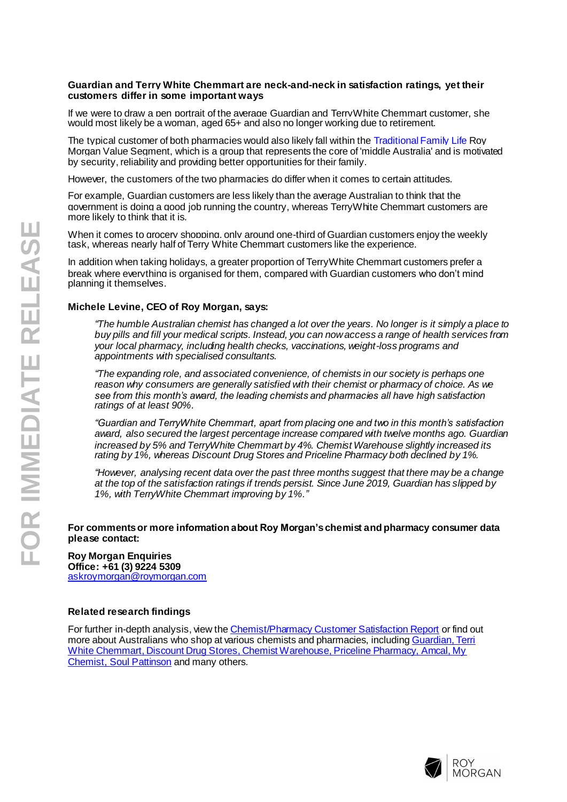#### **Guardian and Terry White Chemmart are neck-and-neck in satisfaction ratings, yet their customers differ in some important ways**

If we were to draw a pen portrait of the average Guardian and TerryWhite Chemmart customer, she would most likely be a woman, aged 65+ and also no longer working due to retirement.

The typical customer of both pharmacies would also likely fall within the [Traditional Family Life](http://www.roymorgan.com/products/values-segments/traditional-family-life) Roy Morgan Value Segment, which is a group that represents the core of 'middle Australia' and is motivated by security, reliability and providing better opportunities for their family.

However, the customers of the two pharmacies do differ when it comes to certain attitudes.

For example, Guardian customers are less likely than the average Australian to think that the government is doing a good job running the country, whereas TerryWhite Chemmart customers are more likely to think that it is.

When it comes to grocery shopping, only around one-third of Guardian customers enjoy the weekly task, whereas nearly half of Terry White Chemmart customers like the experience.

In addition when taking holidays, a greater proportion of TerryWhite Chemmart customers prefer a break where everything is organised for them, compared with Guardian customers who don't mind planning it themselves.

## **Michele Levine, CEO of Roy Morgan, says:**

*"The humble Australian chemist has changed a lot over the years. No longer is it simply a place to buy pills and fill your medical scripts. Instead, you can now access a range of health services from your local pharmacy, including health checks, vaccinations, weight-loss programs and appointments with specialised consultants.*

*"The expanding role, and associated convenience, of chemists in our society is perhaps one reason why consumers are generally satisfied with their chemist or pharmacy of choice. As we see from this month's award, the leading chemists and pharmacies all have high satisfaction ratings of at least 90%.* 

*"Guardian and TerryWhite Chemmart, apart from placing one and two in this month's satisfaction award, also secured the largest percentage increase compared with twelve months ago. Guardian increased by 5% and TerryWhite Chemmart by 4%. Chemist Warehouse slightly increased its rating by 1%, whereas Discount Drug Stores and Priceline Pharmacy both declined by 1%.*

*"However, analysing recent data over the past three months suggest that there may be a change at the top of the satisfaction ratings if trends persist. Since June 2019, Guardian has slipped by 1%, with TerryWhite Chemmart improving by 1%."*

#### **For comments or more information about Roy Morgan'schemist and pharmacy consumer data please contact:**

**Roy Morgan Enquiries Office: +61 (3) 9224 5309** [askroymorgan@roymorgan.com](mailto:askroymorgan@roymorgan.com)

#### **Related research findings**

For further in-depth analysis, view th[e Chemist/Pharmacy Customer Satisfaction Report](https://store.roymorgan.com/products/australia/retail/satisfaction-reports) or find out more about Australians who shop at various chemists and pharmacies, including Guardian, Terri [White Chemmart, Discount Drug Stores, Chemist Warehouse, Priceline Pharmacy, Amcal, My](https://store.roymorgan.com/products/australia/retail/stores)  [Chemist, Soul Pattinson](https://store.roymorgan.com/products/australia/retail/stores) and many others.